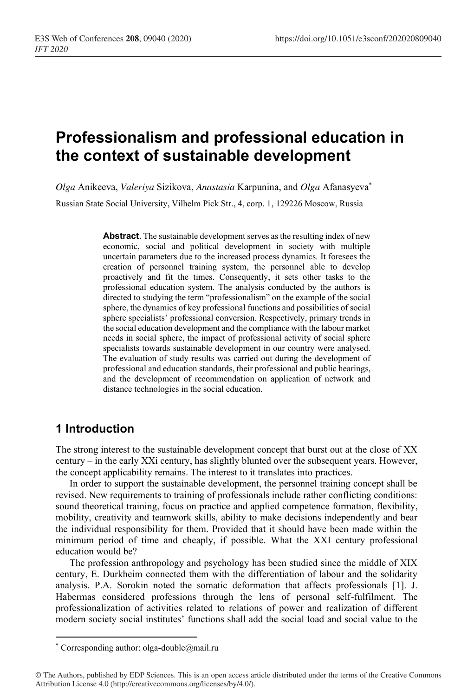# **Professionalism and professional education in the context of sustainable development**

*Olga* Anikeeva, *Valeriya* Sizikova, *Anastasia* Karpunina, and *Olga* Afanasyeva\* Russian State Social University, Vilhelm Pick Str., 4, corp. 1, 129226 Moscow, Russia

> **Abstract**. The sustainable development serves as the resulting index of new economic, social and political development in society with multiple uncertain parameters due to the increased process dynamics. It foresees the creation of personnel training system, the personnel able to develop proactively and fit the times. Consequently, it sets other tasks to the professional education system. The analysis conducted by the authors is directed to studying the term "professionalism" on the example of the social sphere, the dynamics of key professional functions and possibilities of social sphere specialists' professional conversion. Respectively, primary trends in the social education development and the compliance with the labour market needs in social sphere, the impact of professional activity of social sphere specialists towards sustainable development in our country were analysed. The evaluation of study results was carried out during the development of professional and education standards, their professional and public hearings, and the development of recommendation on application of network and distance technologies in the social education.

## **1 Introduction**

The strong interest to the sustainable development concept that burst out at the close of XX century – in the early XXi century, has slightly blunted over the subsequent years. However, the concept applicability remains. The interest to it translates into practices.

In order to support the sustainable development, the personnel training concept shall be revised. New requirements to training of professionals include rather conflicting conditions: sound theoretical training, focus on practice and applied competence formation, flexibility, mobility, creativity and teamwork skills, ability to make decisions independently and bear the individual responsibility for them. Provided that it should have been made within the minimum period of time and cheaply, if possible. What the XXI century professional education would be?

The profession anthropology and psychology has been studied since the middle of XIX century, E. Durkheim connected them with the differentiation of labour and the solidarity analysis. P.А. Sorokin noted the somatic deformation that affects professionals [1]. J. Habermas considered professions through the lens of personal self-fulfilment. The professionalization of activities related to relations of power and realization of different modern society social institutes' functions shall add the social load and social value to the

<sup>\*</sup> Corresponding author: olga-double@mail.ru

<sup>©</sup> The Authors, published by EDP Sciences. This is an open access article distributed under the terms of the Creative Commons Attribution License 4.0 (http://creativecommons.org/licenses/by/4.0/).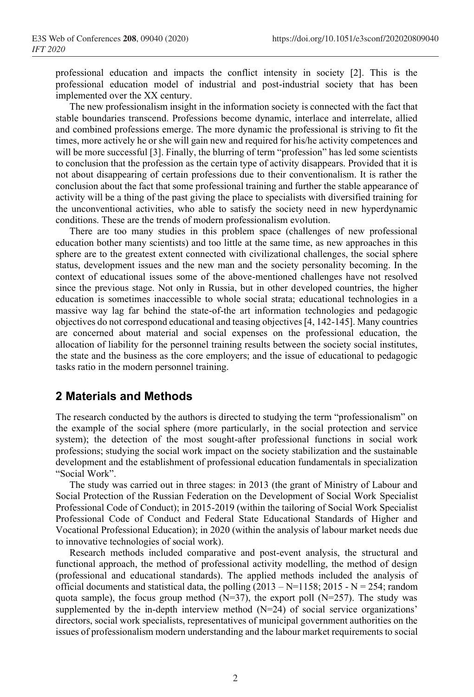professional education and impacts the conflict intensity in society [2]. This is the professional education model of industrial and post-industrial society that has been implemented over the XX century.

The new professionalism insight in the information society is connected with the fact that stable boundaries transcend. Professions become dynamic, interlace and interrelate, allied and combined professions emerge. The more dynamic the professional is striving to fit the times, more actively he or she will gain new and required for his/he activity competences and will be more successful [3]. Finally, the blurring of term "profession" has led some scientists to conclusion that the profession as the certain type of activity disappears. Provided that it is not about disappearing of certain professions due to their conventionalism. It is rather the conclusion about the fact that some professional training and further the stable appearance of activity will be a thing of the past giving the place to specialists with diversified training for the unconventional activities, who able to satisfy the society need in new hyperdynamic conditions. These are the trends of modern professionalism evolution.

There are too many studies in this problem space (challenges of new professional education bother many scientists) and too little at the same time, as new approaches in this sphere are to the greatest extent connected with civilizational challenges, the social sphere status, development issues and the new man and the society personality becoming. In the context of educational issues some of the above-mentioned challenges have not resolved since the previous stage. Not only in Russia, but in other developed countries, the higher education is sometimes inaccessible to whole social strata; educational technologies in a massive way lag far behind the state-of-the art information technologies and pedagogic objectives do not correspond educational and teasing objectives [4, 142-145]. Many countries are concerned about material and social expenses on the professional education, the allocation of liability for the personnel training results between the society social institutes, the state and the business as the core employers; and the issue of educational to pedagogic tasks ratio in the modern personnel training.

### **2 Materials and Methods**

The research conducted by the authors is directed to studying the term "professionalism" on the example of the social sphere (more particularly, in the social protection and service system); the detection of the most sought-after professional functions in social work professions; studying the social work impact on the society stabilization and the sustainable development and the establishment of professional education fundamentals in specialization "Social Work".

The study was carried out in three stages: in 2013 (the grant of Ministry of Labour and Social Protection of the Russian Federation on the Development of Social Work Specialist Professional Code of Conduct); in 2015-2019 (within the tailoring of Social Work Specialist Professional Code of Conduct and Federal State Educational Standards of Higher and Vocational Professional Education); in 2020 (within the analysis of labour market needs due to innovative technologies of social work).

Research methods included comparative and post-event analysis, the structural and functional approach, the method of professional activity modelling, the method of design (professional and educational standards). The applied methods included the analysis of official documents and statistical data, the polling  $(2013 - N=1158; 2015 - N = 254;$  random quota sample), the focus group method  $(N=37)$ , the export poll  $(N=257)$ . The study was supplemented by the in-depth interview method (N=24) of social service organizations' directors, social work specialists, representatives of municipal government authorities on the issues of professionalism modern understanding and the labour market requirements to social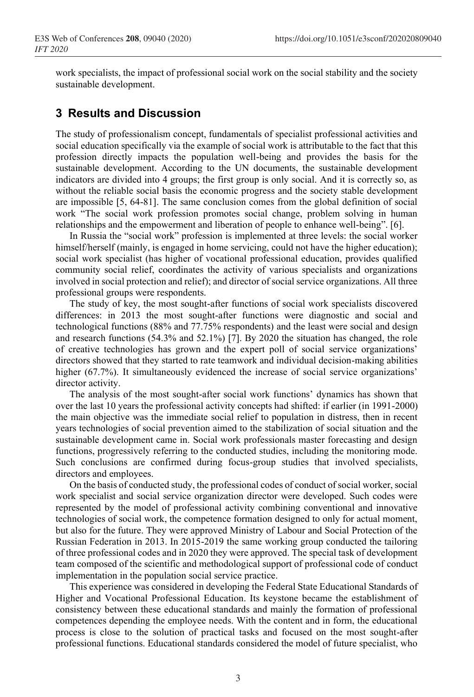work specialists, the impact of professional social work on the social stability and the society sustainable development.

#### **3 Results and Discussion**

The study of professionalism concept, fundamentals of specialist professional activities and social education specifically via the example of social work is attributable to the fact that this profession directly impacts the population well-being and provides the basis for the sustainable development. According to the UN documents, the sustainable development indicators are divided into 4 groups; the first group is only social. And it is correctly so, as without the reliable social basis the economic progress and the society stable development are impossible [5, 64-81]. The same conclusion comes from the global definition of social work "The social work profession promotes social change, problem solving in human relationships and the empowerment and liberation of people to enhance well-being". [6].

In Russia the "social work" profession is implemented at three levels: the social worker himself/herself (mainly, is engaged in home servicing, could not have the higher education); social work specialist (has higher of vocational professional education, provides qualified community social relief, coordinates the activity of various specialists and organizations involved in social protection and relief); and director of social service organizations. All three professional groups were respondents.

The study of key, the most sought-after functions of social work specialists discovered differences: in 2013 the most sought-after functions were diagnostic and social and technological functions (88% and 77.75% respondents) and the least were social and design and research functions (54.3% and 52.1%) [7]. By 2020 the situation has changed, the role of creative technologies has grown and the expert poll of social service organizations' directors showed that they started to rate teamwork and individual decision-making abilities higher (67.7%). It simultaneously evidenced the increase of social service organizations' director activity.

The analysis of the most sought-after social work functions' dynamics has shown that over the last 10 years the professional activity concepts had shifted: if earlier (in 1991-2000) the main objective was the immediate social relief to population in distress, then in recent years technologies of social prevention aimed to the stabilization of social situation and the sustainable development came in. Social work professionals master forecasting and design functions, progressively referring to the conducted studies, including the monitoring mode. Such conclusions are confirmed during focus-group studies that involved specialists, directors and employees.

On the basis of conducted study, the professional codes of conduct of social worker, social work specialist and social service organization director were developed. Such codes were represented by the model of professional activity combining conventional and innovative technologies of social work, the competence formation designed to only for actual moment, but also for the future. They were approved Ministry of Labour and Social Protection of the Russian Federation in 2013. In 2015-2019 the same working group conducted the tailoring of three professional codes and in 2020 they were approved. The special task of development team composed of the scientific and methodological support of professional code of conduct implementation in the population social service practice.

This experience was considered in developing the Federal State Educational Standards of Higher and Vocational Professional Education. Its keystone became the establishment of consistency between these educational standards and mainly the formation of professional competences depending the employee needs. With the content and in form, the educational process is close to the solution of practical tasks and focused on the most sought-after professional functions. Educational standards considered the model of future specialist, who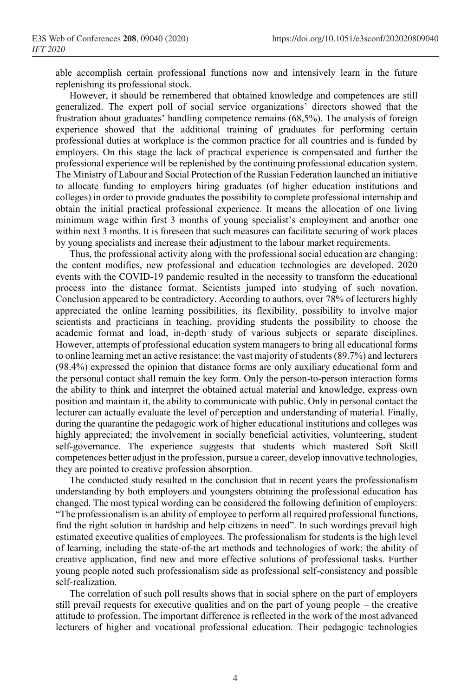able accomplish certain professional functions now and intensively learn in the future replenishing its professional stock.

However, it should be remembered that obtained knowledge and competences are still generalized. The expert poll of social service organizations' directors showed that the frustration about graduates' handling competence remains (68,5%). The analysis of foreign experience showed that the additional training of graduates for performing certain professional duties at workplace is the common practice for all countries and is funded by employers. On this stage the lack of practical experience is compensated and further the professional experience will be replenished by the continuing professional education system. The Ministry of Labour and Social Protection of the Russian Federation launched an initiative to allocate funding to employers hiring graduates (of higher education institutions and colleges) in order to provide graduates the possibility to complete professional internship and obtain the initial practical professional experience. It means the allocation of one living minimum wage within first 3 months of young specialist's employment and another one within next 3 months. It is foreseen that such measures can facilitate securing of work places by young specialists and increase their adjustment to the labour market requirements.

Thus, the professional activity along with the professional social education are changing: the content modifies, new professional and education technologies are developed. 2020 events with the COVID-19 pandemic resulted in the necessity to transform the educational process into the distance format. Scientists jumped into studying of such novation. Conclusion appeared to be contradictory. According to authors, over 78% of lecturers highly appreciated the online learning possibilities, its flexibility, possibility to involve major scientists and practicians in teaching, providing students the possibility to choose the academic format and load, in-depth study of various subjects or separate disciplines. However, attempts of professional education system managers to bring all educational forms to online learning met an active resistance: the vast majority of students (89.7%) and lecturers (98.4%) expressed the opinion that distance forms are only auxiliary educational form and the personal contact shall remain the key form. Only the person-to-person interaction forms the ability to think and interpret the obtained actual material and knowledge, express own position and maintain it, the ability to communicate with public. Only in personal contact the lecturer can actually evaluate the level of perception and understanding of material. Finally, during the quarantine the pedagogic work of higher educational institutions and colleges was highly appreciated; the involvement in socially beneficial activities, volunteering, student self-governance. The experience suggests that students which mastered Soft Skill competences better adjust in the profession, pursue a career, develop innovative technologies, they are pointed to creative profession absorption.

The conducted study resulted in the conclusion that in recent years the professionalism understanding by both employers and youngsters obtaining the professional education has changed. The most typical wording can be considered the following definition of employers: "The professionalism is an ability of employee to perform all required professional functions, find the right solution in hardship and help citizens in need". In such wordings prevail high estimated executive qualities of employees. The professionalism for students is the high level of learning, including the state-of-the art methods and technologies of work; the ability of creative application, find new and more effective solutions of professional tasks. Further young people noted such professionalism side as professional self-consistency and possible self-realization.

The correlation of such poll results shows that in social sphere on the part of employers still prevail requests for executive qualities and on the part of young people – the creative attitude to profession. The important difference is reflected in the work of the most advanced lecturers of higher and vocational professional education. Their pedagogic technologies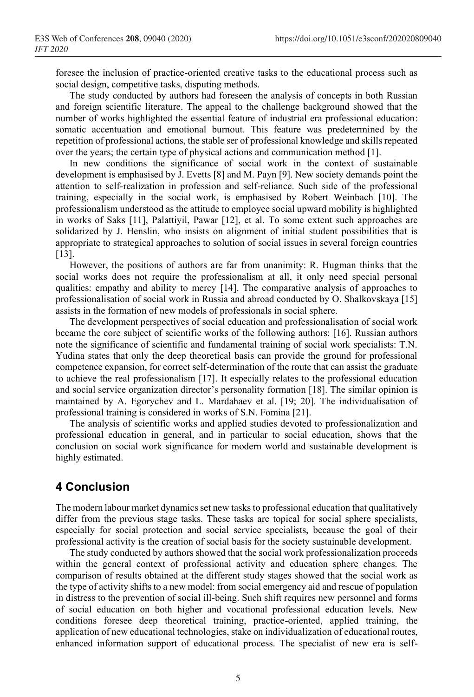foresee the inclusion of practice-oriented creative tasks to the educational process such as social design, competitive tasks, disputing methods.

The study conducted by authors had foreseen the analysis of concepts in both Russian and foreign scientific literature. The appeal to the challenge background showed that the number of works highlighted the essential feature of industrial era professional education: somatic accentuation and emotional burnout. This feature was predetermined by the repetition of professional actions, the stable ser of professional knowledge and skills repeated over the years; the certain type of physical actions and communication method [1].

In new conditions the significance of social work in the context of sustainable development is emphasised by J. Evetts [8] and M. Payn [9]. New society demands point the attention to self-realization in profession and self-reliance. Such side of the professional training, especially in the social work, is emphasised by Robert Weinbach [10]. The professionalism understood as the attitude to employee social upward mobility is highlighted in works of Saks [11], Palattiyil, Pawar [12], et al. To some extent such approaches are solidarized by J. Henslin, who insists on alignment of initial student possibilities that is appropriate to strategical approaches to solution of social issues in several foreign countries [13].

However, the positions of authors are far from unanimity: R. Hugman thinks that the social works does not require the professionalism at all, it only need special personal qualities: empathy and ability to mercy [14]. The comparative analysis of approaches to professionalisation of social work in Russia and abroad conducted by O. Shalkovskaya [15] assists in the formation of new models of professionals in social sphere.

The development perspectives of social education and professionalisation of social work became the core subject of scientific works of the following authors: [16]. Russian authors note the significance of scientific and fundamental training of social work specialists: T.N. Yudina states that only the deep theoretical basis can provide the ground for professional competence expansion, for correct self-determination of the route that can assist the graduate to achieve the real professionalism [17]. It especially relates to the professional education and social service organization director's personality formation [18]. The similar opinion is maintained by A. Egorychev and L. Mardahaev et al. [19; 20]. The individualisation of professional training is considered in works of S.N. Fomina [21].

The analysis of scientific works and applied studies devoted to professionalization and professional education in general, and in particular to social education, shows that the conclusion on social work significance for modern world and sustainable development is highly estimated.

## **4 Conclusion**

The modern labour market dynamics set new tasks to professional education that qualitatively differ from the previous stage tasks. These tasks are topical for social sphere specialists, especially for social protection and social service specialists, because the goal of their professional activity is the creation of social basis for the society sustainable development.

The study conducted by authors showed that the social work professionalization proceeds within the general context of professional activity and education sphere changes. The comparison of results obtained at the different study stages showed that the social work as the type of activity shifts to a new model: from social emergency aid and rescue of population in distress to the prevention of social ill-being. Such shift requires new personnel and forms of social education on both higher and vocational professional education levels. New conditions foresee deep theoretical training, practice-oriented, applied training, the application of new educational technologies, stake on individualization of educational routes, enhanced information support of educational process. The specialist of new era is self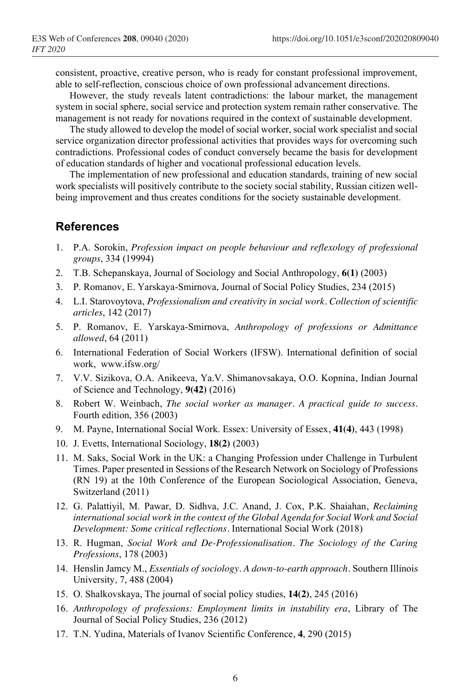consistent, proactive, creative person, who is ready for constant professional improvement, able to self-reflection, conscious choice of own professional advancement directions.

However, the study reveals latent contradictions: the labour market, the management system in social sphere, social service and protection system remain rather conservative. The management is not ready for novations required in the context of sustainable development.

The study allowed to develop the model of social worker, social work specialist and social service organization director professional activities that provides ways for overcoming such contradictions. Professional codes of conduct conversely became the basis for development of education standards of higher and vocational professional education levels.

The implementation of new professional and education standards, training of new social work specialists will positively contribute to the society social stability, Russian citizen wellbeing improvement and thus creates conditions for the society sustainable development.

#### **References**

- 1. P.A. Sorokin, *Profession impact on people behaviour and reflexology of professional groups*, 334 (19994)
- 2. T.B. Schepanskaya, Journal of Sociology and Social Anthropology, **6(1)** (2003)
- 3. P. Romanov, E. Yarskaya-Smirnova, Journal of Social Policy Studies, 234 (2015)
- 4. L.I. Starovoytova, *Professionalism and creativity in social work. Collection of scientific articles*, 142 (2017)
- 5. P. Romanov, E. Yarskaya-Smirnova, *Anthropology of professions or Admittance allowed*, 64 (2011)
- 6. International Federation of Social Workers (IFSW). International definition of social work, www.ifsw.org/
- 7. V.V. Sizikova, O.A. Anikeeva, Ya.V. Shimanovsakaya, O.O. Kopnina, Indian Journal of Science and Technology, **9(42)** (2016)
- 8. Robert W. Weinbach, *The social worker as manager. A practical guide to success.* Fourth edition, 356 (2003)
- 9. M. Payne, International Social Work. Essex: University of Essex, **41(4)**, 443 (1998)
- 10. J. Evetts, International Sociology, **18(2)** (2003)
- 11. M. Saks, Social Work in the UK: a Changing Profession under Challenge in Turbulent Times. Paper presented in Sessions of the Research Network on Sociology of Professions (RN 19) at the 10th Conference of the European Sociological Association, Geneva, Switzerland (2011)
- 12. G. Palattiyil, M. Pawar, D. Sidhva, J.C. Anand, J. Cox, P.K. Shaiahan, *Reclaiming international social work in the context of the Global Agenda for Social Work and Social Development: Some critical reflections.* International Social Work (2018)
- 13. R. Hugman, *Social Work and De-Professionalisation. The Sociology of the Caring Professions*, 178 (2003)
- 14. Henslin Jamcy M., *Essentials of sociology. A down-to-earth approach.* Southern Illinois University*,* 7, 488 (2004)
- 15. O. Shalkovskaya, The journal of social policy studies, **14(2)**, 245 (2016)
- 16. *Anthropology of professions: Employment limits in instability era*, Library of The Journal of Social Policy Studies, 236 (2012)
- 17. T.N. Yudina, Materials of Ivanov Scientific Conference, **4**, 290 (2015)